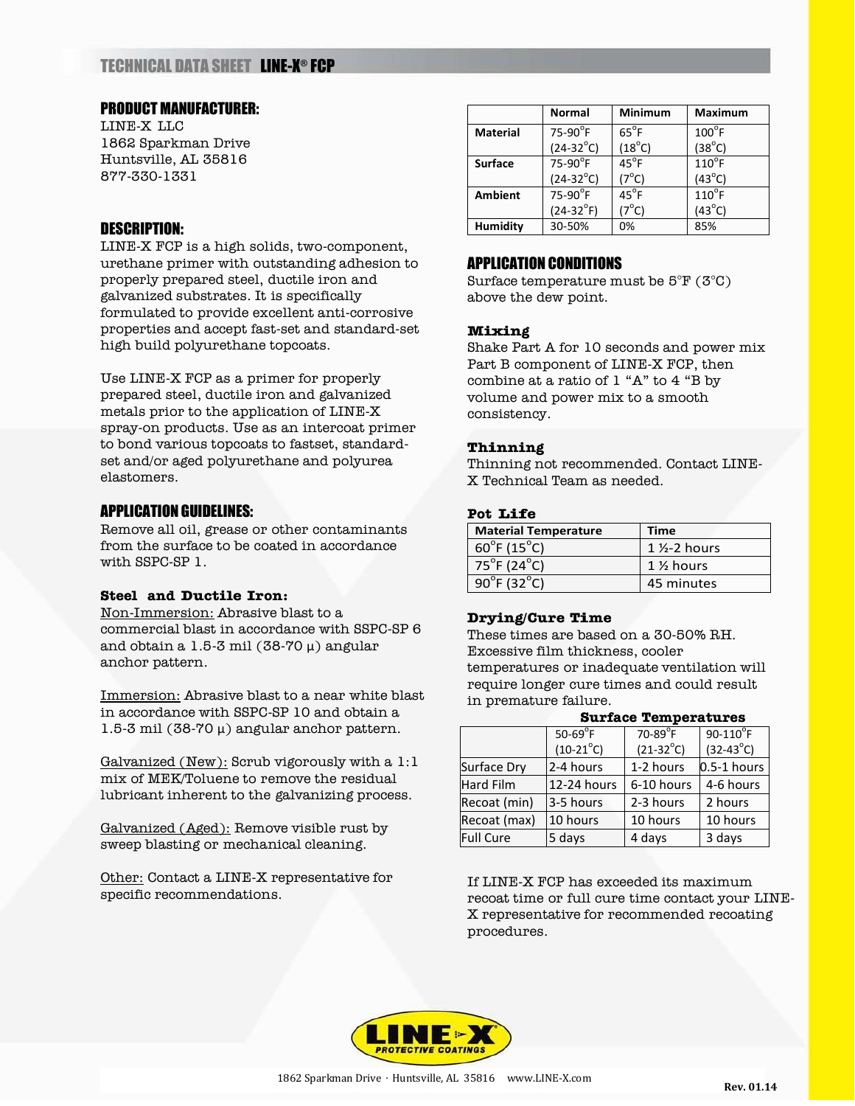# TECHNICAL DATA SHEET LINE-X ® FCP

#### PRODUCT MANUFACTURER:

LINE-X LLC 1862 Sparkman Drive Huntsville, AL 35816 877-330-1331

## DESCRIPTION:

LINE-X FCP is a high solids, two-component, urethane primer with outstanding adhesion to properly prepared steel, ductile iron and galvanized substrates. It is specifically formulated to provide excellent anti-corrosive properties and accept fast-set and standard-set high build polyurethane topcoats.

Use LINE-X FCP as a primer for properly prepared steel, ductile iron and galvanized metals prior to the application of LINE-X spray-on products. Use as an intercoat primer to bond various topcoats to fastset, standardset and/or aged polyurethane and polyurea elastomers.

## APPLICATION GUIDELINES:

Remove all oil, grease or other contaminants from the surface to be coated in accordance with SSPC-SP 1.

## **Steel and Ductile Iron:**

Non-Immersion: Abrasive blast to a commercial blast in accordance with SSPC-SP 6 and obtain a 1.5-3 mil (38-70  $\mu$ ) angular anchor pattern.

Immersion: Abrasive blast to a near white blast in accordance with SSPC-SP 10 and obtain a 1.5-3 mil (38-70 μ) angular anchor pattern.

Galvanized (New): Scrub vigorously with a 1:1 mix of MEK/Toluene to remove the residual lubricant inherent to the galvanizing process.

Galvanized (Aged): Remove visible rust by sweep blasting or mechanical cleaning.

Other: Contact a LINE-X representative for specific recommendations.

|                 | <b>Normal</b>          | <b>Minimum</b>  | <b>Maximum</b>  |
|-----------------|------------------------|-----------------|-----------------|
| <b>Material</b> | $75-90$ <sup>°</sup> F | $65^{\circ}$ F  | $100^{\circ}$ F |
|                 | $(24-32^{\circ}C)$     | $(18^{\circ}C)$ | $(38^{\circ}C)$ |
| <b>Surface</b>  | $75-90$ <sup>°</sup> F | $45^{\circ}$ F  | $110^{\circ}$ F |
|                 | $(24-32^{\circ}C)$     | $(7^{\circ}C)$  | $(43^{\circ}C)$ |
| <b>Ambient</b>  | $75-90$ <sup>°</sup> F | $45^{\circ}$ F  | $110^{\circ}$ F |
|                 | $(24-32^{\circ}F)$     | $(7^{\circ}C)$  | $(43^{\circ}C)$ |
| <b>Humidity</b> | 30-50%                 | 0%              | 85%             |

## APPLICATION CONDITIONS

Surface temperature must be 5°F (3°C) above the dew point.

#### **Mixing**

Shake Part A for 10 seconds and power mix Part B component of LINE-X FCP, then combine at a ratio of 1 "A" to 4 "B by volume and power mix to a smooth consistency.

#### **Thinning**

Thinning not recommended. Contact LINE-X Technical Team as needed.

#### **Pot Life**

| <b>Material Temperature</b>      | <b>Time</b>             |  |
|----------------------------------|-------------------------|--|
| $60^{\circ}$ F (15 $^{\circ}$ C) | $1\frac{1}{2}$ -2 hours |  |
| $75^{\circ}$ F (24 $^{\circ}$ C) | $1\frac{1}{2}$ hours    |  |
| $90^{\circ}$ F (32 $^{\circ}$ C) | 45 minutes              |  |

#### **Drying/Cure Time**

These times are based on a 30-50% RH. Excessive film thickness, cooler temperatures or inadequate ventilation will require longer cure times and could result in premature failure.

## **Surface Temperatures**

|                  | $50-69$ <sup>°</sup> F | $70-89$ <sup>°</sup> F | $90-110$ <sup>°</sup> F |
|------------------|------------------------|------------------------|-------------------------|
|                  | $(10-21^{\circ}C)$     | $(21-32^{\circ}C)$     | $(32-43^{\circ}C)$      |
| Surface Dry      | 2-4 hours              | 1-2 hours              | $0.5-1$ hours           |
| <b>Hard Film</b> | 12-24 hours            | 6-10 hours             | 4-6 hours               |
| Recoat (min)     | 3-5 hours              | 2-3 hours              | 2 hours                 |
| Recoat (max)     | 10 hours               | 10 hours               | 10 hours                |
| <b>Full Cure</b> | 5 days                 | 4 days                 | 3 days                  |

If LINE-X FCP has exceeded its maximum recoat time or full cure time contact your LINE-X representative for recommended recoating procedures.